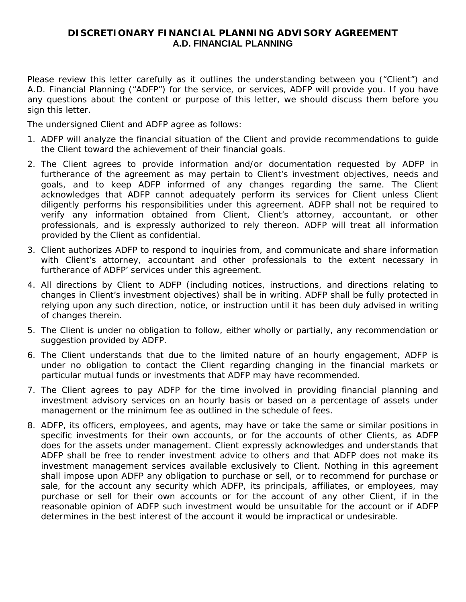# **DISCRETIONARY FINANCIAL PLANNING ADVISORY AGREEMENT A.D. FINANCIAL PLANNING**

Please review this letter carefully as it outlines the understanding between you ("Client") and A.D. Financial Planning ("ADFP") for the service, or services, ADFP will provide you. If you have any questions about the content or purpose of this letter, we should discuss them before you sign this letter.

The undersigned Client and ADFP agree as follows:

- 1. ADFP will analyze the financial situation of the Client and provide recommendations to guide the Client toward the achievement of their financial goals.
- 2. The Client agrees to provide information and/or documentation requested by ADFP in furtherance of the agreement as may pertain to Client's investment objectives, needs and goals, and to keep ADFP informed of any changes regarding the same. The Client acknowledges that ADFP cannot adequately perform its services for Client unless Client diligently performs his responsibilities under this agreement. ADFP shall not be required to verify any information obtained from Client, Client's attorney, accountant, or other professionals, and is expressly authorized to rely thereon. ADFP will treat all information provided by the Client as confidential.
- 3. Client authorizes ADFP to respond to inquiries from, and communicate and share information with Client's attorney, accountant and other professionals to the extent necessary in furtherance of ADFP' services under this agreement.
- 4. All directions by Client to ADFP (including notices, instructions, and directions relating to changes in Client's investment objectives) shall be in writing. ADFP shall be fully protected in relying upon any such direction, notice, or instruction until it has been duly advised in writing of changes therein.
- 5. The Client is under no obligation to follow, either wholly or partially, any recommendation or suggestion provided by ADFP.
- 6. The Client understands that due to the limited nature of an hourly engagement, ADFP is under no obligation to contact the Client regarding changing in the financial markets or particular mutual funds or investments that ADFP may have recommended.
- 7. The Client agrees to pay ADFP for the time involved in providing financial planning and investment advisory services on an hourly basis or based on a percentage of assets under management or the minimum fee as outlined in the schedule of fees.
- 8. ADFP, its officers, employees, and agents, may have or take the same or similar positions in specific investments for their own accounts, or for the accounts of other Clients, as ADFP does for the assets under management. Client expressly acknowledges and understands that ADFP shall be free to render investment advice to others and that ADFP does not make its investment management services available exclusively to Client. Nothing in this agreement shall impose upon ADFP any obligation to purchase or sell, or to recommend for purchase or sale, for the account any security which ADFP, its principals, affiliates, or employees, may purchase or sell for their own accounts or for the account of any other Client, if in the reasonable opinion of ADFP such investment would be unsuitable for the account or if ADFP determines in the best interest of the account it would be impractical or undesirable.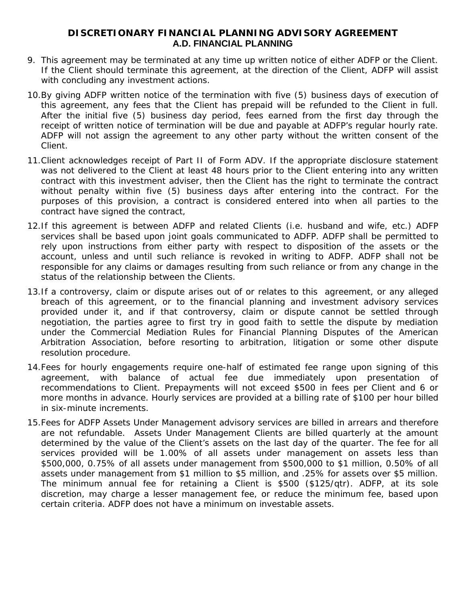# **DISCRETIONARY FINANCIAL PLANNING ADVISORY AGREEMENT A.D. FINANCIAL PLANNING**

- 9. This agreement may be terminated at any time up written notice of either ADFP or the Client. If the Client should terminate this agreement, at the direction of the Client, ADFP will assist with concluding any investment actions.
- 10.By giving ADFP written notice of the termination with five (5) business days of execution of this agreement, any fees that the Client has prepaid will be refunded to the Client in full. After the initial five (5) business day period, fees earned from the first day through the receipt of written notice of termination will be due and payable at ADFP's regular hourly rate. ADFP will not assign the agreement to any other party without the written consent of the Client.
- 11.Client acknowledges receipt of Part II of Form ADV. If the appropriate disclosure statement was not delivered to the Client at least 48 hours prior to the Client entering into any written contract with this investment adviser, then the Client has the right to terminate the contract without penalty within five (5) business days after entering into the contract. For the purposes of this provision, a contract is considered entered into when all parties to the contract have signed the contract,
- 12.If this agreement is between ADFP and related Clients (i.e. husband and wife, etc.) ADFP services shall be based upon joint goals communicated to ADFP. ADFP shall be permitted to rely upon instructions from either party with respect to disposition of the assets or the account, unless and until such reliance is revoked in writing to ADFP. ADFP shall not be responsible for any claims or damages resulting from such reliance or from any change in the status of the relationship between the Clients.
- 13.If a controversy, claim or dispute arises out of or relates to this agreement, or any alleged breach of this agreement, or to the financial planning and investment advisory services provided under it, and if that controversy, claim or dispute cannot be settled through negotiation, the parties agree to first try in good faith to settle the dispute by mediation under the Commercial Mediation Rules for Financial Planning Disputes of the American Arbitration Association, before resorting to arbitration, litigation or some other dispute resolution procedure.
- 14.Fees for hourly engagements require one-half of estimated fee range upon signing of this agreement, with balance of actual fee due immediately upon presentation of recommendations to Client. Prepayments will not exceed \$500 in fees per Client and 6 or more months in advance. Hourly services are provided at a billing rate of \$100 per hour billed in six-minute increments.
- 15.Fees for ADFP Assets Under Management advisory services are billed in arrears and therefore are not refundable. Assets Under Management Clients are billed quarterly at the amount determined by the value of the Client's assets on the last day of the quarter. The fee for all services provided will be 1.00% of all assets under management on assets less than \$500,000, 0.75% of all assets under management from \$500,000 to \$1 million, 0.50% of all assets under management from \$1 million to \$5 million, and .25% for assets over \$5 million. The minimum annual fee for retaining a Client is \$500 (\$125/qtr). ADFP, at its sole discretion, may charge a lesser management fee, or reduce the minimum fee, based upon certain criteria. ADFP does not have a minimum on investable assets.